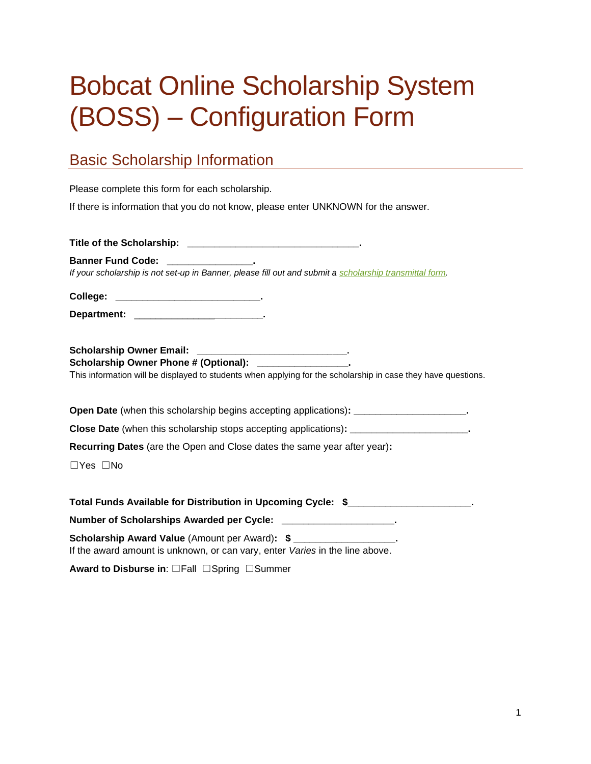# Bobcat Online Scholarship System (BOSS) – Configuration Form

### Basic Scholarship Information

| Please complete this form for each scholarship.                                                                                |  |  |  |  |
|--------------------------------------------------------------------------------------------------------------------------------|--|--|--|--|
| If there is information that you do not know, please enter UNKNOWN for the answer.                                             |  |  |  |  |
|                                                                                                                                |  |  |  |  |
| Title of the Scholarship: __________________________________.                                                                  |  |  |  |  |
| <b>Banner Fund Code:</b><br><u> 1980 - Jan James James Barnett, primer p</u>                                                   |  |  |  |  |
| If your scholarship is not set-up in Banner, please fill out and submit a scholarship transmittal form.                        |  |  |  |  |
| College: _________________________________.                                                                                    |  |  |  |  |
| Department: ____________________________                                                                                       |  |  |  |  |
|                                                                                                                                |  |  |  |  |
| Scholarship Owner Email: _______________________________.                                                                      |  |  |  |  |
| Scholarship Owner Phone # (Optional): ________________                                                                         |  |  |  |  |
| This information will be displayed to students when applying for the scholarship in case they have questions.                  |  |  |  |  |
|                                                                                                                                |  |  |  |  |
|                                                                                                                                |  |  |  |  |
| Close Date (when this scholarship stops accepting applications): _______________________.                                      |  |  |  |  |
| Recurring Dates (are the Open and Close dates the same year after year):                                                       |  |  |  |  |
| $\Box$ Yes $\Box$ No                                                                                                           |  |  |  |  |
|                                                                                                                                |  |  |  |  |
| Total Funds Available for Distribution in Upcoming Cycle: \$                                                                   |  |  |  |  |
| Number of Scholarships Awarded per Cycle: _____________________.                                                               |  |  |  |  |
| Scholarship Award Value (Amount per Award): \$<br>If the award amount is unknown, or can vary, enter Varies in the line above. |  |  |  |  |
| Award to Disburse in: □Fall □Spring □Summer                                                                                    |  |  |  |  |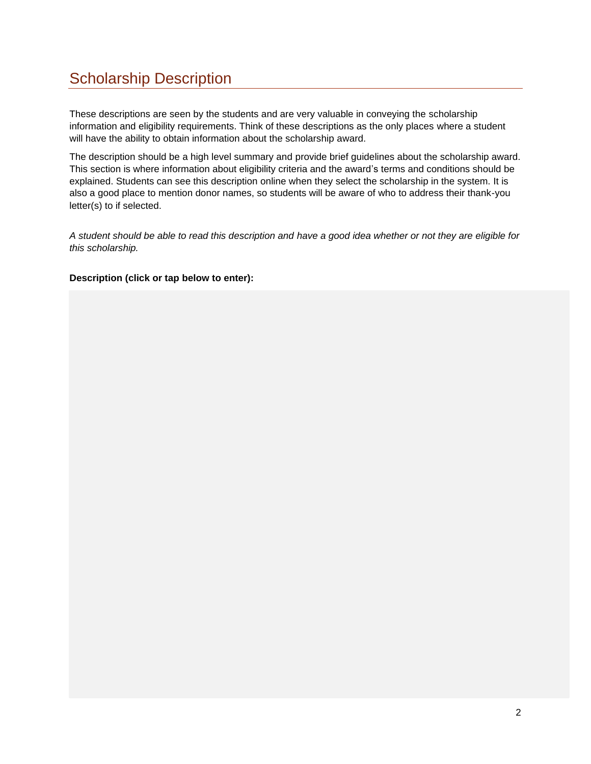### Scholarship Description

These descriptions are seen by the students and are very valuable in conveying the scholarship information and eligibility requirements. Think of these descriptions as the only places where a student will have the ability to obtain information about the scholarship award.

The description should be a high level summary and provide brief guidelines about the scholarship award. This section is where information about eligibility criteria and the award's terms and conditions should be explained. Students can see this description online when they select the scholarship in the system. It is also a good place to mention donor names, so students will be aware of who to address their thank-you letter(s) to if selected.

*A student should be able to read this description and have a good idea whether or not they are eligible for this scholarship.*

#### **Description (click or tap below to enter):**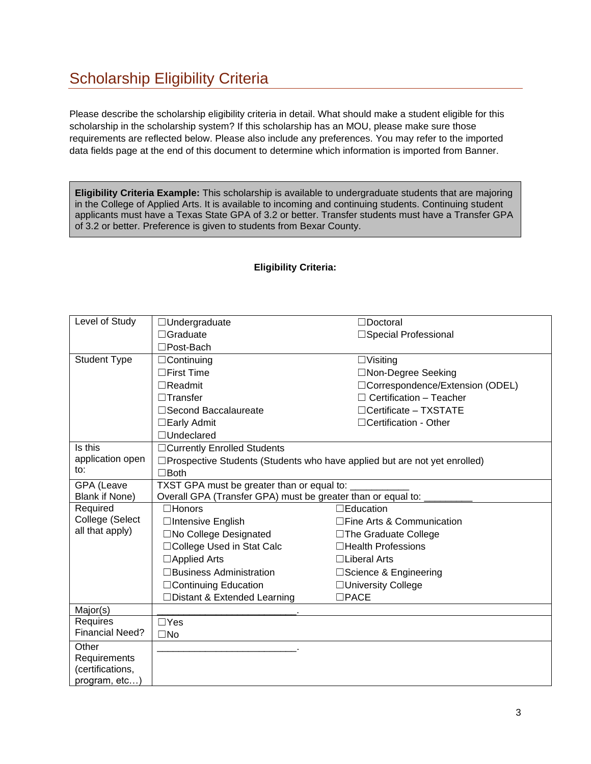### Scholarship Eligibility Criteria

Please describe the scholarship eligibility criteria in detail. What should make a student eligible for this scholarship in the scholarship system? If this scholarship has an MOU, please make sure those requirements are reflected below. Please also include any preferences. You may refer to the imported data fields page at the end of this document to determine which information is imported from Banner.

**Eligibility Criteria Example:** This scholarship is available to undergraduate students that are majoring in the College of Applied Arts. It is available to incoming and continuing students. Continuing student applicants must have a Texas State GPA of 3.2 or better. Transfer students must have a Transfer GPA of 3.2 or better. Preference is given to students from Bexar County.

#### **Eligibility Criteria:**

| Level of Study                          | $\Box$ Undergraduate                                                             | $\Box$ Doctoral                  |  |
|-----------------------------------------|----------------------------------------------------------------------------------|----------------------------------|--|
|                                         | $\Box$ Graduate                                                                  | □Special Professional            |  |
|                                         | □Post-Bach                                                                       |                                  |  |
| <b>Student Type</b>                     | $\Box$ Continuing                                                                | $\Box$ Visiting                  |  |
|                                         | $\Box$ First Time                                                                | □Non-Degree Seeking              |  |
|                                         | $\Box$ Readmit                                                                   | □Correspondence/Extension (ODEL) |  |
|                                         | $\Box$ Transfer                                                                  | $\Box$ Certification - Teacher   |  |
|                                         | □Second Baccalaureate                                                            | $\Box$ Certificate - TXSTATE     |  |
|                                         | $\Box$ Early Admit                                                               | □Certification - Other           |  |
|                                         | □Undeclared                                                                      |                                  |  |
| Is this<br>□Currently Enrolled Students |                                                                                  |                                  |  |
| application open                        | $\Box$ Prospective Students (Students who have applied but are not yet enrolled) |                                  |  |
| to:                                     |                                                                                  |                                  |  |
| GPA (Leave                              | TXST GPA must be greater than or equal to: _                                     |                                  |  |
| Blank if None)                          | Overall GPA (Transfer GPA) must be greater than or equal to:                     |                                  |  |
| Required                                | $\square$ Honors                                                                 | $\Box$ Education                 |  |
| College (Select                         | □Intensive English                                                               | $\Box$ Fine Arts & Communication |  |
| all that apply)                         | □No College Designated                                                           | □The Graduate College            |  |
|                                         | □College Used in Stat Calc                                                       | □Health Professions              |  |
|                                         | □Applied Arts                                                                    | $\Box$ Liberal Arts              |  |
|                                         | □Business Administration                                                         | □Science & Engineering           |  |
|                                         | □Continuing Education                                                            | □University College              |  |
|                                         | □Distant & Extended Learning                                                     | $\square$ PACE                   |  |
| Major(s)                                |                                                                                  |                                  |  |
| Requires                                | $\Box$ Yes                                                                       |                                  |  |
| <b>Financial Need?</b>                  | $\square$ No                                                                     |                                  |  |
| Other                                   |                                                                                  |                                  |  |
| Requirements                            |                                                                                  |                                  |  |
| (certifications,                        |                                                                                  |                                  |  |
| program, etc)                           |                                                                                  |                                  |  |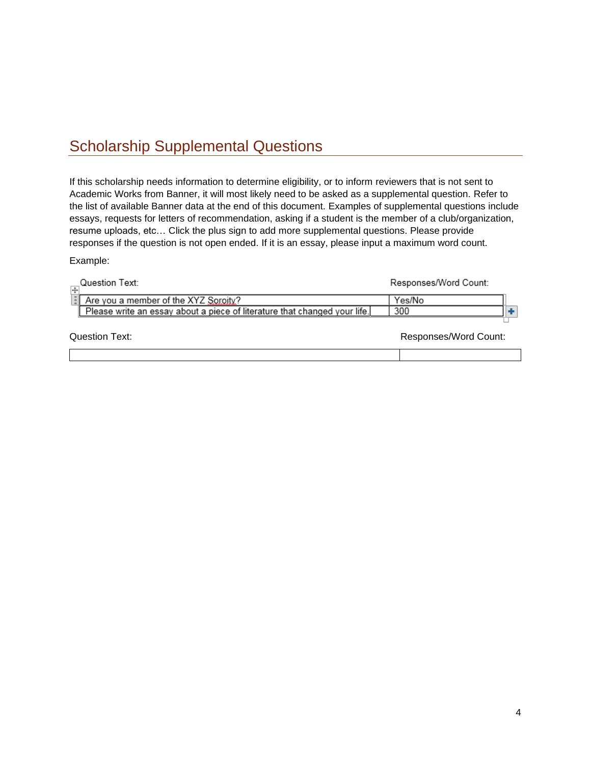### Scholarship Supplemental Questions

If this scholarship needs information to determine eligibility, or to inform reviewers that is not sent to Academic Works from Banner, it will most likely need to be asked as a supplemental question. Refer to the list of available Banner data at the end of this document. Examples of supplemental questions include essays, requests for letters of recommendation, asking if a student is the member of a club/organization, resume uploads, etc… Click the plus sign to add more supplemental questions. Please provide responses if the question is not open ended. If it is an essay, please input a maximum word count.

#### Example:

|                | Question Text:                                                            | Responses/Word Count: |  |
|----------------|---------------------------------------------------------------------------|-----------------------|--|
|                | Are you a member of the XYZ Soroity?                                      | Yes/No                |  |
|                | Please write an essay about a piece of literature that changed your life. | 300                   |  |
| Question Text: |                                                                           | Responses/Word Count: |  |
|                |                                                                           |                       |  |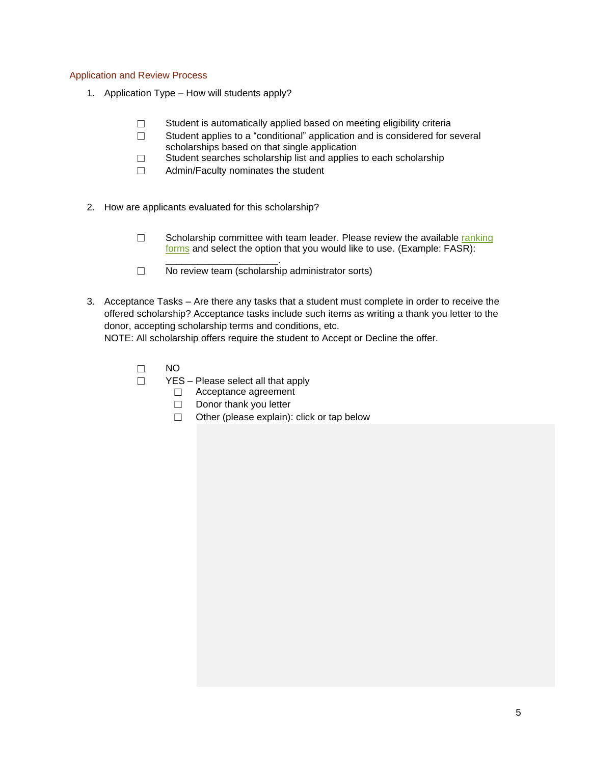#### Application and Review Process

- 1. Application Type How will students apply?
	- □ Student is automatically applied based on meeting eligibility criteria
	- ☐ Student applies to a "conditional" application and is considered for several scholarships based on that single application
	- ☐ Student searches scholarship list and applies to each scholarship
	- ☐ Admin/Faculty nominates the student
- 2. How are applicants evaluated for this scholarship?
	- □ Scholarship committee with team leader. Please review the available ranking [forms](http://www.finaid.txstate.edu/forms/scholarships/FR_Evaluation_Forms.pdf) and select the option that you would like to use. (Example: FASR):
	- \_\_\_\_\_\_\_\_\_\_\_\_\_\_\_\_\_\_\_\_\_. ☐ No review team (scholarship administrator sorts)
- 3. Acceptance Tasks Are there any tasks that a student must complete in order to receive the offered scholarship? Acceptance tasks include such items as writing a thank you letter to the donor, accepting scholarship terms and conditions, etc.

NOTE: All scholarship offers require the student to Accept or Decline the offer.

☐ NO

☐ YES – Please select all that apply

- □ Acceptance agreement
- □ Donor thank you letter
- ☐ Other (please explain): click or tap below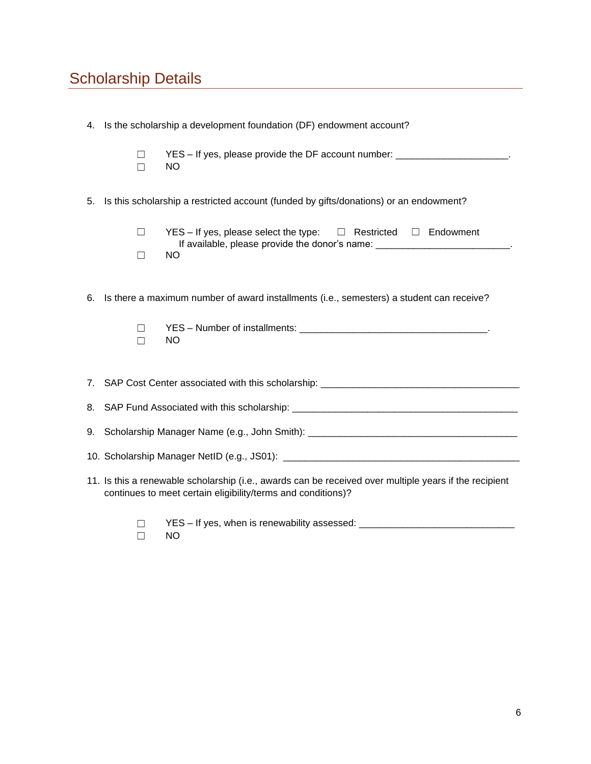## **Scholarship Details**

|    | 4. Is the scholarship a development foundation (DF) endowment account?                                                                                                              |  |  |  |  |
|----|-------------------------------------------------------------------------------------------------------------------------------------------------------------------------------------|--|--|--|--|
|    | YES - If yes, please provide the DF account number: _____________________.<br>ш<br><b>NO</b><br>П                                                                                   |  |  |  |  |
| 5. | Is this scholarship a restricted account (funded by gifts/donations) or an endowment?                                                                                               |  |  |  |  |
|    | YES – If yes, please select the type: $\Box$ Restricted $\Box$ Endowment<br>П<br>If available, please provide the donor's name: ________________________________.<br><b>NO</b><br>П |  |  |  |  |
| 6. | Is there a maximum number of award installments (i.e., semesters) a student can receive?                                                                                            |  |  |  |  |
|    | $\Box$<br><b>NO</b><br>$\Box$                                                                                                                                                       |  |  |  |  |
|    | 7. SAP Cost Center associated with this scholarship: ___________________________                                                                                                    |  |  |  |  |
|    |                                                                                                                                                                                     |  |  |  |  |
|    |                                                                                                                                                                                     |  |  |  |  |
|    |                                                                                                                                                                                     |  |  |  |  |
|    | 11. Is this a renewable scholarship (i.e., awards can be received over multiple years if the recipient<br>continues to meet certain eligibility/terms and conditions)?              |  |  |  |  |
|    |                                                                                                                                                                                     |  |  |  |  |

□ YES – If yes, when is renewability assessed: \_\_\_\_\_\_\_\_\_\_\_\_\_\_\_\_\_\_\_\_\_\_\_\_\_\_\_\_\_\_\_\_\_ ☐ NO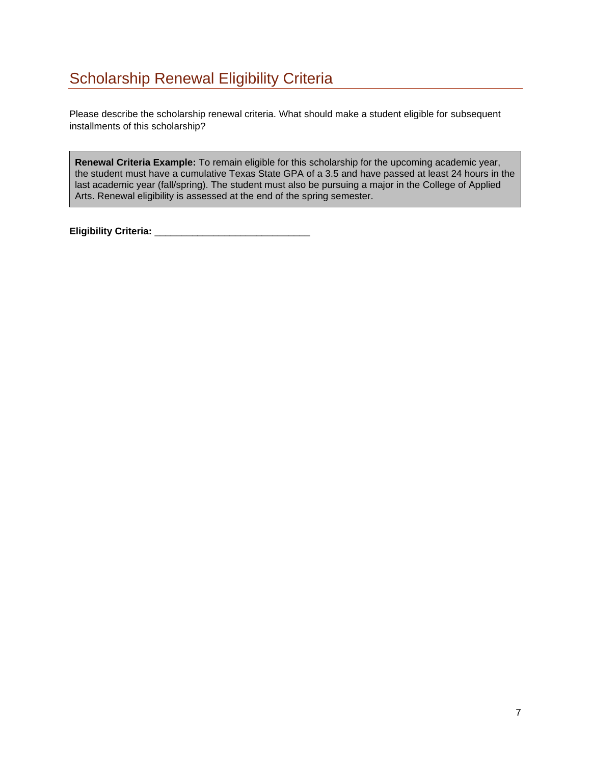### Scholarship Renewal Eligibility Criteria

Please describe the scholarship renewal criteria. What should make a student eligible for subsequent installments of this scholarship?

**Renewal Criteria Example:** To remain eligible for this scholarship for the upcoming academic year, the student must have a cumulative Texas State GPA of a 3.5 and have passed at least 24 hours in the last academic year (fall/spring). The student must also be pursuing a major in the College of Applied Arts. Renewal eligibility is assessed at the end of the spring semester.

**Eligibility Criteria:** \_\_\_\_\_\_\_\_\_\_\_\_\_\_\_\_\_\_\_\_\_\_\_\_\_\_\_\_\_